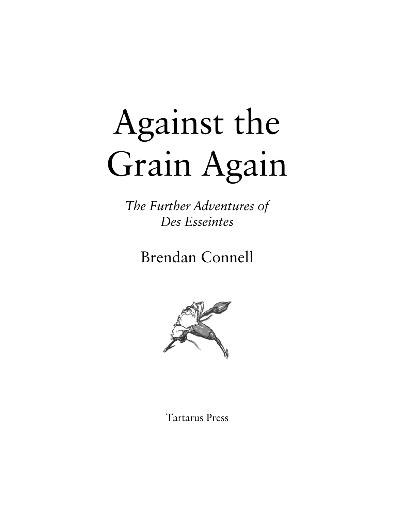# Against the Grain Again

*The Further Adventures of Des Esseintes*

# Brendan Connell



Tartarus Press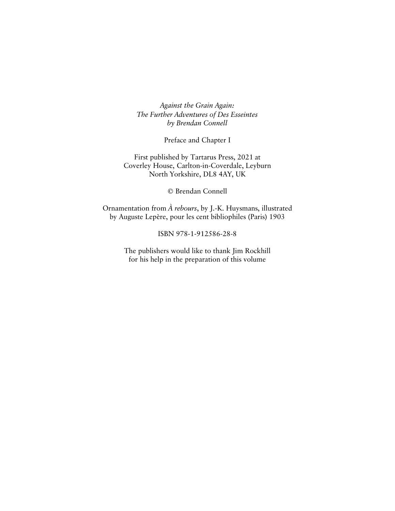*Against the Grain Again: The Further Adventures of Des Esseintes by Brendan Connell*

Preface and Chapter I

First published by Tartarus Press, 2021 at Coverley House, Carlton-in-Coverdale, Leyburn North Yorkshire, DL8 4AY, UK

© Brendan Connell

Ornamentation from *À rebours*, by J.-K. Huysmans, illustrated by Auguste Lepère, pour les cent bibliophiles (Paris) 1903

ISBN 978-1-912586-28-8

The publishers would like to thank Jim Rockhill for his help in the preparation of this volume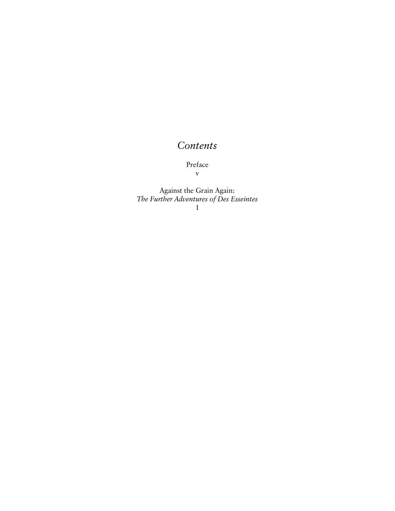# *Contents*

Preface

v

Against the Grain Again: *The Further Adventures of Des Esseintes* 1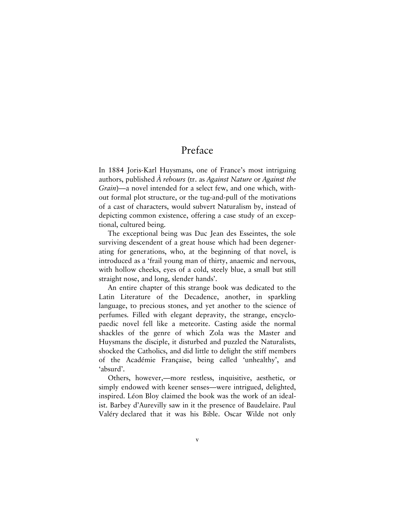# Preface

In 1884 Joris-Karl Huysmans, one of France's most intriguing authors, published *À rebours* (tr. as *Against Nature* or *Against the Grain*)—a novel intended for a select few, and one which, without formal plot structure, or the tug-and-pull of the motivations of a cast of characters, would subvert Naturalism by, instead of depicting common existence, offering a case study of an exceptional, cultured being.

The exceptional being was Duc Jean des Esseintes, the sole surviving descendent of a great house which had been degenerating for generations, who, at the beginning of that novel, is introduced as a 'frail young man of thirty, anaemic and nervous, with hollow cheeks, eyes of a cold, steely blue, a small but still straight nose, and long, slender hands'.

An entire chapter of this strange book was dedicated to the Latin Literature of the Decadence, another, in sparkling language, to precious stones, and yet another to the science of perfumes. Filled with elegant depravity, the strange, encyclopaedic novel fell like a meteorite. Casting aside the normal shackles of the genre of which Zola was the Master and Huysmans the disciple, it disturbed and puzzled the Naturalists, shocked the Catholics, and did little to delight the stiff members of the Académie Française, being called 'unhealthy', and 'absurd'.

Others, however,—more restless, inquisitive, aesthetic, or simply endowed with keener senses—were intrigued, delighted, inspired. Léon Bloy claimed the book was the work of an idealist. Barbey d'Aurevilly saw in it the presence of Baudelaire. Paul Valéry declared that it was his Bible. Oscar Wilde not only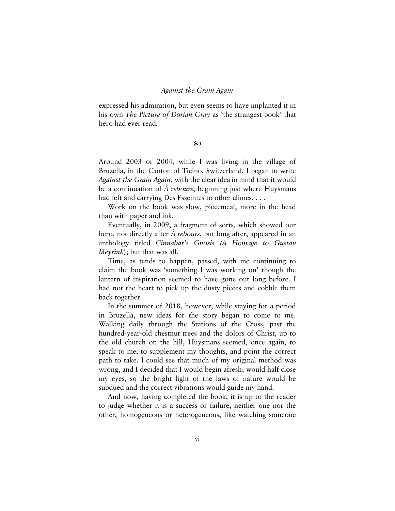#### *Against the Grain Again*

expressed his admiration, but even seems to have implanted it in his own *The Picture of Dorian Gray* as 'the strangest book' that hero had ever read.

ဢ

Around 2003 or 2004, while I was living in the village of Bruzella, in the Canton of Ticino, Switzerland, I began to write *Against the Grain Again*, with the clear idea in mind that it would be a continuation of *À rebours*, beginning just where Huysmans had left and carrying Des Esseintes to other climes. . . .

Work on the book was slow, piecemeal, more in the head than with paper and ink.

Eventually, in 2009, a fragment of sorts, which showed our hero, not directly after *À rebours*, but long after, appeared in an anthology titled *Cinnabar's Gnosis (A Homage to Gustav Meyrink*); but that was all.

Time, as tends to happen, passed, with me continuing to claim the book was 'something I was working on' though the lantern of inspiration seemed to have gone out long before. I had not the heart to pick up the dusty pieces and cobble them back together.

In the summer of 2018, however, while staying for a period in Bruzella, new ideas for the story began to come to me. Walking daily through the Stations of the Cross, past the hundred-year-old chestnut trees and the dolors of Christ, up to the old church on the hill, Huysmans seemed, once again, to speak to me, to supplement my thoughts, and point the correct path to take. I could see that much of my original method was wrong, and I decided that I would begin afresh; would half close my eyes, so the bright light of the laws of nature would be subdued and the correct vibrations would guide my hand.

And now, having completed the book, it is up to the reader to judge whether it is a success or failure, neither one nor the other, homogeneous or heterogeneous, like watching someone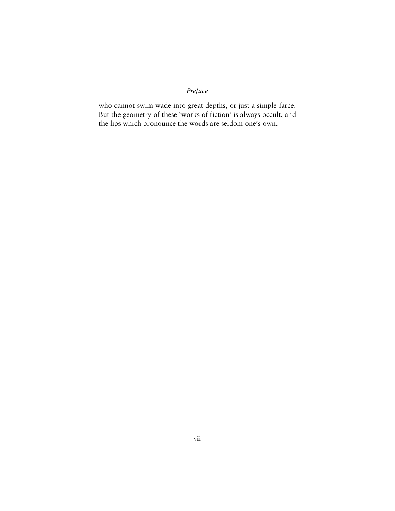#### *Preface*

who cannot swim wade into great depths, or just a simple farce. But the geometry of these 'works of fiction' is always occult, and the lips which pronounce the words are seldom one's own.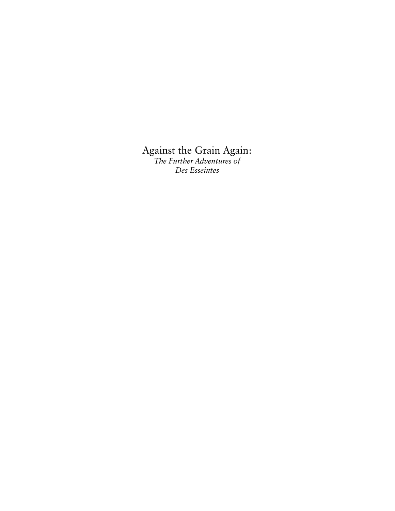## Against the Grain Again:

*The Further Adventures of Des Esseintes*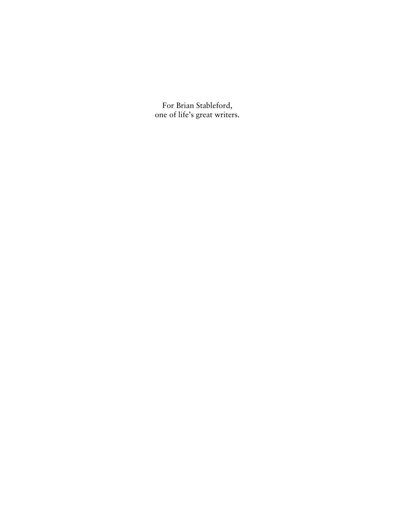For Brian Stableford, one of life's great writers.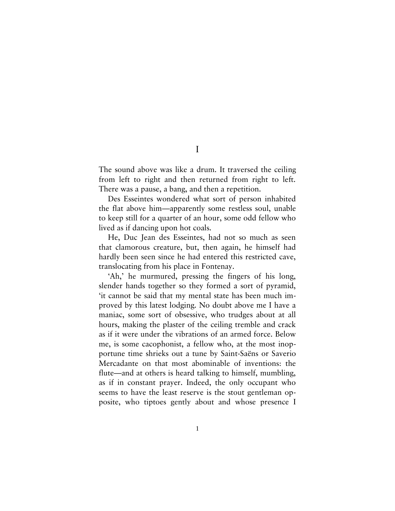The sound above was like a drum. It traversed the ceiling from left to right and then returned from right to left. There was a pause, a bang, and then a repetition.

Des Esseintes wondered what sort of person inhabited the flat above him—apparently some restless soul, unable to keep still for a quarter of an hour, some odd fellow who lived as if dancing upon hot coals.

He, Duc Jean des Esseintes, had not so much as seen that clamorous creature, but, then again, he himself had hardly been seen since he had entered this restricted cave, translocating from his place in Fontenay.

'Ah,' he murmured, pressing the fingers of his long, slender hands together so they formed a sort of pyramid, 'it cannot be said that my mental state has been much improved by this latest lodging. No doubt above me I have a maniac, some sort of obsessive, who trudges about at all hours, making the plaster of the ceiling tremble and crack as if it were under the vibrations of an armed force. Below me, is some cacophonist, a fellow who, at the most inopportune time shrieks out a tune by Saint-Saëns or Saverio Mercadante on that most abominable of inventions: the flute—and at others is heard talking to himself, mumbling, as if in constant prayer. Indeed, the only occupant who seems to have the least reserve is the stout gentleman opposite, who tiptoes gently about and whose presence I

I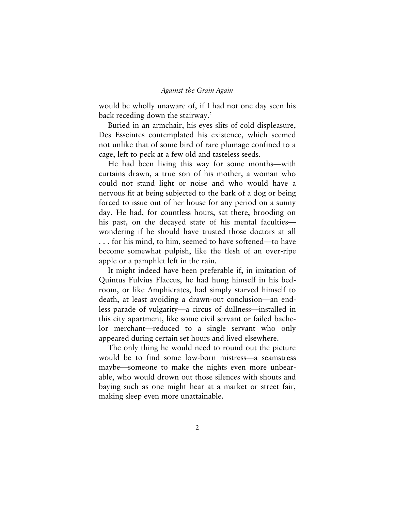would be wholly unaware of, if I had not one day seen his back receding down the stairway.'

Buried in an armchair, his eyes slits of cold displeasure, Des Esseintes contemplated his existence, which seemed not unlike that of some bird of rare plumage confined to a cage, left to peck at a few old and tasteless seeds.

He had been living this way for some months—with curtains drawn, a true son of his mother, a woman who could not stand light or noise and who would have a nervous fit at being subjected to the bark of a dog or being forced to issue out of her house for any period on a sunny day. He had, for countless hours, sat there, brooding on his past, on the decayed state of his mental faculties wondering if he should have trusted those doctors at all . . . for his mind, to him, seemed to have softened—to have become somewhat pulpish, like the flesh of an over-ripe apple or a pamphlet left in the rain.

It might indeed have been preferable if, in imitation of Quintus Fulvius Flaccus, he had hung himself in his bedroom, or like Amphicrates, had simply starved himself to death, at least avoiding a drawn-out conclusion—an endless parade of vulgarity—a circus of dullness—installed in this city apartment, like some civil servant or failed bachelor merchant—reduced to a single servant who only appeared during certain set hours and lived elsewhere.

The only thing he would need to round out the picture would be to find some low-born mistress—a seamstress maybe—someone to make the nights even more unbearable, who would drown out those silences with shouts and baying such as one might hear at a market or street fair, making sleep even more unattainable.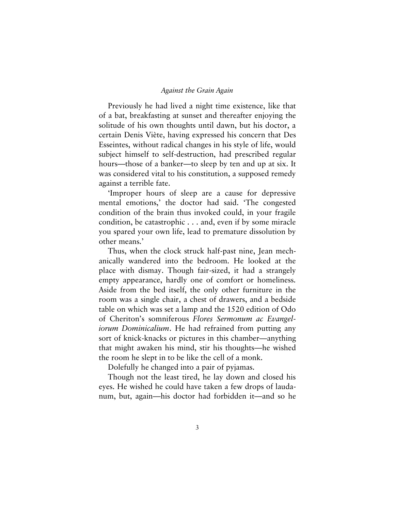Previously he had lived a night time existence, like that of a bat, breakfasting at sunset and thereafter enjoying the solitude of his own thoughts until dawn, but his doctor, a certain Denis Viète, having expressed his concern that Des Esseintes, without radical changes in his style of life, would subject himself to self-destruction, had prescribed regular hours—those of a banker—to sleep by ten and up at six. It was considered vital to his constitution, a supposed remedy against a terrible fate.

'Improper hours of sleep are a cause for depressive mental emotions,' the doctor had said. 'The congested condition of the brain thus invoked could, in your fragile condition, be catastrophic . . . and, even if by some miracle you spared your own life, lead to premature dissolution by other means.'

Thus, when the clock struck half-past nine, Jean mechanically wandered into the bedroom. He looked at the place with dismay. Though fair-sized, it had a strangely empty appearance, hardly one of comfort or homeliness. Aside from the bed itself, the only other furniture in the room was a single chair, a chest of drawers, and a bedside table on which was set a lamp and the 1520 edition of Odo of Cheriton's somniferous *Flores Sermonum ac Evangeliorum Dominicalium*. He had refrained from putting any sort of knick-knacks or pictures in this chamber—anything that might awaken his mind, stir his thoughts—he wished the room he slept in to be like the cell of a monk.

Dolefully he changed into a pair of pyjamas.

Though not the least tired, he lay down and closed his eyes. He wished he could have taken a few drops of laudanum, but, again—his doctor had forbidden it—and so he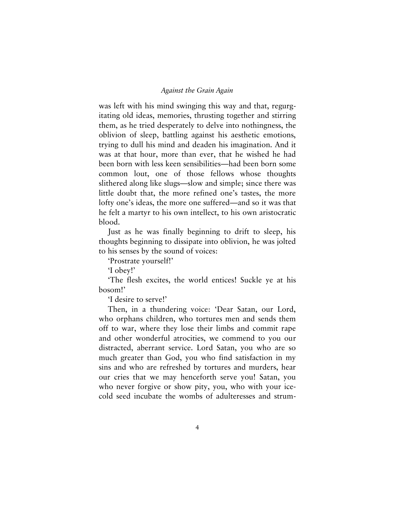was left with his mind swinging this way and that, regurgitating old ideas, memories, thrusting together and stirring them, as he tried desperately to delve into nothingness, the oblivion of sleep, battling against his aesthetic emotions, trying to dull his mind and deaden his imagination. And it was at that hour, more than ever, that he wished he had been born with less keen sensibilities—had been born some common lout, one of those fellows whose thoughts slithered along like slugs—slow and simple; since there was little doubt that, the more refined one's tastes, the more lofty one's ideas, the more one suffered—and so it was that he felt a martyr to his own intellect, to his own aristocratic blood.

Just as he was finally beginning to drift to sleep, his thoughts beginning to dissipate into oblivion, he was jolted to his senses by the sound of voices:

'Prostrate yourself!'

'I obey!'

'The flesh excites, the world entices! Suckle ye at his bosom!'

'I desire to serve!'

Then, in a thundering voice: 'Dear Satan, our Lord, who orphans children, who tortures men and sends them off to war, where they lose their limbs and commit rape and other wonderful atrocities, we commend to you our distracted, aberrant service. Lord Satan, you who are so much greater than God, you who find satisfaction in my sins and who are refreshed by tortures and murders, hear our cries that we may henceforth serve you! Satan, you who never forgive or show pity, you, who with your icecold seed incubate the wombs of adulteresses and strum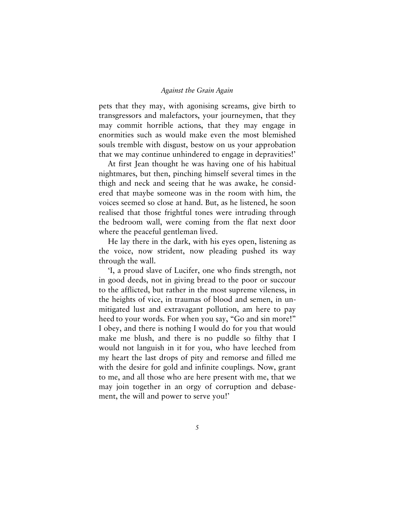pets that they may, with agonising screams, give birth to transgressors and malefactors, your journeymen, that they may commit horrible actions, that they may engage in enormities such as would make even the most blemished souls tremble with disgust, bestow on us your approbation that we may continue unhindered to engage in depravities!'

At first Jean thought he was having one of his habitual nightmares, but then, pinching himself several times in the thigh and neck and seeing that he was awake, he considered that maybe someone was in the room with him, the voices seemed so close at hand. But, as he listened, he soon realised that those frightful tones were intruding through the bedroom wall, were coming from the flat next door where the peaceful gentleman lived.

He lay there in the dark, with his eyes open, listening as the voice, now strident, now pleading pushed its way through the wall.

'I, a proud slave of Lucifer, one who finds strength, not in good deeds, not in giving bread to the poor or succour to the afflicted, but rather in the most supreme vileness, in the heights of vice, in traumas of blood and semen, in unmitigated lust and extravagant pollution, am here to pay heed to your words. For when you say, "Go and sin more!" I obey, and there is nothing I would do for you that would make me blush, and there is no puddle so filthy that I would not languish in it for you, who have leeched from my heart the last drops of pity and remorse and filled me with the desire for gold and infinite couplings. Now, grant to me, and all those who are here present with me, that we may join together in an orgy of corruption and debasement, the will and power to serve you!'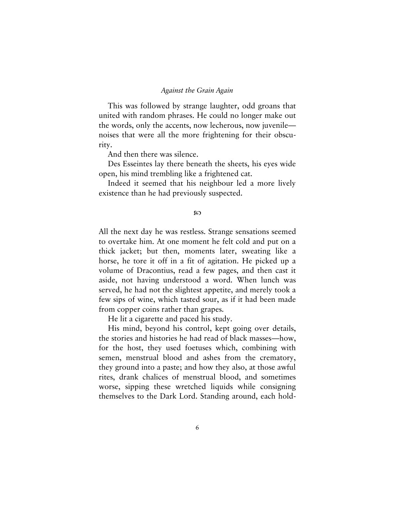This was followed by strange laughter, odd groans that united with random phrases. He could no longer make out the words, only the accents, now lecherous, now juvenile noises that were all the more frightening for their obscurity.

And then there was silence.

Des Esseintes lay there beneath the sheets, his eyes wide open, his mind trembling like a frightened cat.

Indeed it seemed that his neighbour led a more lively existence than he had previously suspected.

#### ဢ

All the next day he was restless. Strange sensations seemed to overtake him. At one moment he felt cold and put on a thick jacket; but then, moments later, sweating like a horse, he tore it off in a fit of agitation. He picked up a volume of Dracontius, read a few pages, and then cast it aside, not having understood a word. When lunch was served, he had not the slightest appetite, and merely took a few sips of wine, which tasted sour, as if it had been made from copper coins rather than grapes.

He lit a cigarette and paced his study.

His mind, beyond his control, kept going over details, the stories and histories he had read of black masses—how, for the host, they used foetuses which, combining with semen, menstrual blood and ashes from the crematory, they ground into a paste; and how they also, at those awful rites, drank chalices of menstrual blood, and sometimes worse, sipping these wretched liquids while consigning themselves to the Dark Lord. Standing around, each hold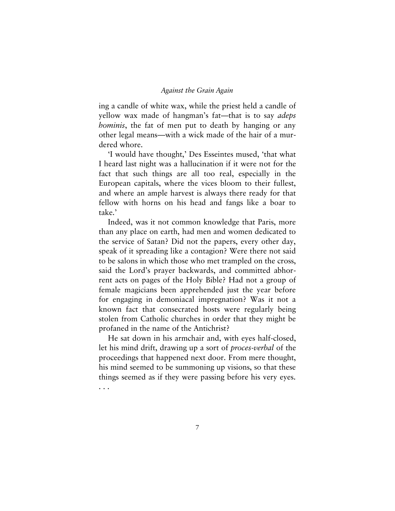ing a candle of white wax, while the priest held a candle of yellow wax made of hangman's fat—that is to say *adeps hominis*, the fat of men put to death by hanging or any other legal means—with a wick made of the hair of a murdered whore.

'I would have thought,' Des Esseintes mused, 'that what I heard last night was a hallucination if it were not for the fact that such things are all too real, especially in the European capitals, where the vices bloom to their fullest, and where an ample harvest is always there ready for that fellow with horns on his head and fangs like a boar to take.'

Indeed, was it not common knowledge that Paris, more than any place on earth, had men and women dedicated to the service of Satan? Did not the papers, every other day, speak of it spreading like a contagion? Were there not said to be salons in which those who met trampled on the cross, said the Lord's prayer backwards, and committed abhorrent acts on pages of the Holy Bible? Had not a group of female magicians been apprehended just the year before for engaging in demoniacal impregnation? Was it not a known fact that consecrated hosts were regularly being stolen from Catholic churches in order that they might be profaned in the name of the Antichrist?

He sat down in his armchair and, with eyes half-closed, let his mind drift, drawing up a sort of *proces-verbal* of the proceedings that happened next door. From mere thought, his mind seemed to be summoning up visions, so that these things seemed as if they were passing before his very eyes. . . .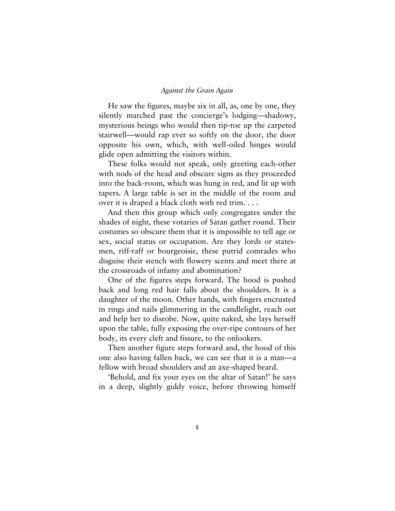He saw the figures, maybe six in all, as, one by one, they silently marched past the concierge's lodging—shadowy, mysterious beings who would then tip-toe up the carpeted stairwell—would rap ever so softly on the door, the door opposite his own, which, with well-oiled hinges would glide open admitting the visitors within.

These folks would not speak, only greeting each-other with nods of the head and obscure signs as they proceeded into the back-room, which was hung in red, and lit up with tapers. A large table is set in the middle of the room and over it is draped a black cloth with red trim. . . .

And then this group which only congregates under the shades of night, these votaries of Satan gather round. Their costumes so obscure them that it is impossible to tell age or sex, social status or occupation. Are they lords or statesmen, riff-raff or bourgeoisie, these putrid comrades who disguise their stench with flowery scents and meet there at the crossroads of infamy and abomination?

One of the figures steps forward. The hood is pushed back and long red hair falls about the shoulders. It is a daughter of the moon. Other hands, with fingers encrusted in rings and nails glimmering in the candlelight, reach out and help her to disrobe. Now, quite naked, she lays herself upon the table, fully exposing the over-ripe contours of her body, its every cleft and fissure, to the onlookers.

Then another figure steps forward and, the hood of this one also having fallen back, we can see that it is a man—a fellow with broad shoulders and an axe-shaped beard.

'Behold, and fix your eyes on the altar of Satan!' he says in a deep, slightly giddy voice, before throwing himself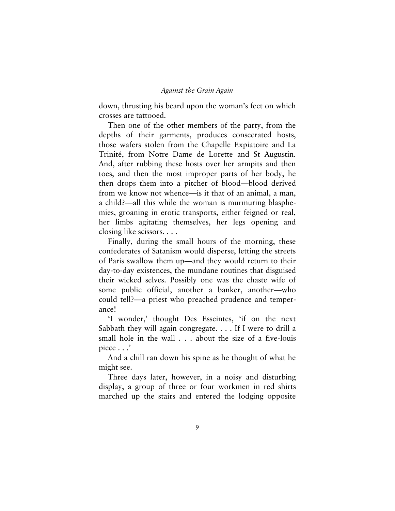down, thrusting his beard upon the woman's feet on which crosses are tattooed.

Then one of the other members of the party, from the depths of their garments, produces consecrated hosts, those wafers stolen from the Chapelle Expiatoire and La Trinité, from Notre Dame de Lorette and St Augustin. And, after rubbing these hosts over her armpits and then toes, and then the most improper parts of her body, he then drops them into a pitcher of blood—blood derived from we know not whence—is it that of an animal, a man, a child?—all this while the woman is murmuring blasphemies, groaning in erotic transports, either feigned or real, her limbs agitating themselves, her legs opening and closing like scissors. . . .

Finally, during the small hours of the morning, these confederates of Satanism would disperse, letting the streets of Paris swallow them up—and they would return to their day-to-day existences, the mundane routines that disguised their wicked selves. Possibly one was the chaste wife of some public official, another a banker, another—who could tell?—a priest who preached prudence and temperance!

'I wonder,' thought Des Esseintes, 'if on the next Sabbath they will again congregate. . . . If I were to drill a small hole in the wall . . . about the size of a five-louis piece . . .'

And a chill ran down his spine as he thought of what he might see.

Three days later, however, in a noisy and disturbing display, a group of three or four workmen in red shirts marched up the stairs and entered the lodging opposite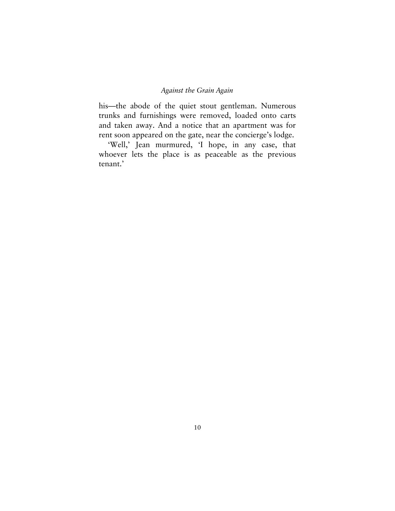his—the abode of the quiet stout gentleman. Numerous trunks and furnishings were removed, loaded onto carts and taken away. And a notice that an apartment was for rent soon appeared on the gate, near the concierge's lodge.

'Well,' Jean murmured, 'I hope, in any case, that whoever lets the place is as peaceable as the previous tenant.'